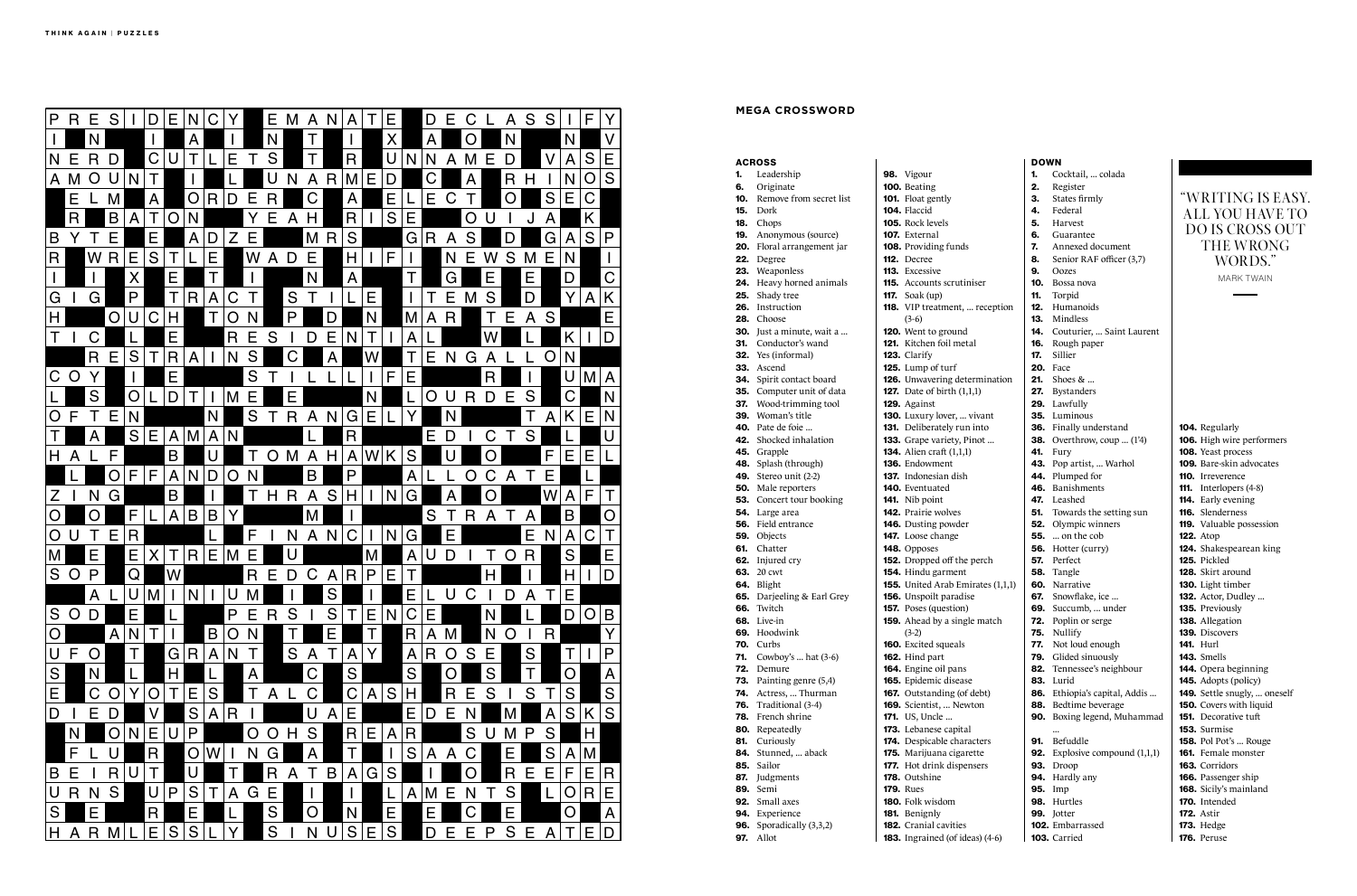#### ACROSS

- 1. Leadership
- 6. Originate
- 10. Remove from secret list
- 15. Dork
- 18. Chops
- 19. Anonymous (source)
- 20. Floral arrangement jar
- 22. Degree
- 23. Weaponless 24. Heavy horned animals
- 25. Shady tree
- 26. Instruction
- 28. Choose
- 30. Just a minute, wait a ...
- 31. Conductor's wand
- 32. Yes (informal)
	-
- 33. Ascend
- 34. Spirit contact board
- 35. Computer unit of data
- 37. Wood-trimming tool
- 39. Woman's title
- 40. Pate de foie ...
- 42. Shocked inhalation
- 45. Grapple
- 48. Splash (through) **49.** Stereo unit (2-2)
- 50. Male reporters
- 
- **53.** Concert tour booking
- 54. Large area 56. Field entrance
- 
- 59. Objects 61. Chatter
- 62. Injured cry
- **63.** 20 cwt
- 64. Blight
- **65.** Darjeeling & Earl Grey
- 66. Twitch
- 68. Live-in
- 69. Hoodwink
- 70. Curbs
- **71.** Cowboy's ... hat (3-6) 72. Demure
	-
- 73. Painting genre (5,4)
- 74. Actress, ... Thurman
- 76. Traditional (3-4) 78. French shrine
- 80. Repeatedly
- 81. Curiously
- 84. Stunned, ... aback
- 85. Sailor
- 87. Judgments
- 89. Semi
- 92. Small axes
- 94. Experience
- **96.** Sporadically (3,3,2)
- 97. Allot

- **167.** Outstanding (of  $d$ 169. Scientist, ... Newt
- **171.** US, Uncle ...
- 173. Lebanese capital
- 174. Despicable characters
- 175. Marijuana cigaret
- 177. Hot drink dispens
- 178. Outshine
- 179. Rues
- 180. Folk wisdom
- 181. Benignly
- 182. Cranial cavities
	-
- 183. Ingrained (of idea
	-

| <b>DOWN</b>                                        |            |                                                       |  |                                                               |  |  |  |  |
|----------------------------------------------------|------------|-------------------------------------------------------|--|---------------------------------------------------------------|--|--|--|--|
| 98. Vigour                                         | 1.         | Cocktail,  colada                                     |  |                                                               |  |  |  |  |
| 100. Beating                                       | 2.         | Register                                              |  |                                                               |  |  |  |  |
| 101. Float gently                                  | 3.         | States firmly                                         |  | "WRITING IS EASY.                                             |  |  |  |  |
| 104. Flaccid                                       | 4.         | Federal                                               |  | ALL YOU HAVE TO                                               |  |  |  |  |
| <b>105.</b> Rock levels                            | 5.         | Harvest                                               |  | <b>DO IS CROSS OUT</b>                                        |  |  |  |  |
| <b>107.</b> External                               | 6.         | Guarantee                                             |  |                                                               |  |  |  |  |
| 108. Providing funds                               | 7.         | Annexed document                                      |  | <b>THE WRONG</b>                                              |  |  |  |  |
| 112. Decree                                        | 8.         | Senior RAF officer (3,7)                              |  | WORDS."                                                       |  |  |  |  |
| 113. Excessive                                     | 9.         | Oozes                                                 |  | <b>MARK TWAIN</b>                                             |  |  |  |  |
| <b>115.</b> Accounts scrutiniser                   | 10.        | Bossa nova                                            |  |                                                               |  |  |  |  |
| <b>117.</b> Soak (up)                              | 11.        | Torpid                                                |  |                                                               |  |  |  |  |
| <b>118.</b> VIP treatment,  reception              | 12.        | Humanoids                                             |  |                                                               |  |  |  |  |
| $(3-6)$                                            | 13.        | Mindless                                              |  |                                                               |  |  |  |  |
| 120. Went to ground                                | 14.        | Couturier,  Saint Laurent                             |  |                                                               |  |  |  |  |
| <b>121.</b> Kitchen foil metal                     | 16.        | Rough paper                                           |  |                                                               |  |  |  |  |
| 123. Clarify                                       | 17.<br>20. | Sillier                                               |  |                                                               |  |  |  |  |
| 125. Lump of turf<br>126. Unwavering determination | 21.        | Face<br>Shoes $& $                                    |  |                                                               |  |  |  |  |
| <b>127.</b> Date of birth $(1,1,1)$                | 27.        | <b>Bystanders</b>                                     |  |                                                               |  |  |  |  |
| 129. Against                                       |            | 29. Lawfully                                          |  |                                                               |  |  |  |  |
| 130. Luxury lover,  vivant                         |            | 35. Luminous                                          |  |                                                               |  |  |  |  |
| 131. Deliberately run into                         |            | 36. Finally understand                                |  | 104. Regularly                                                |  |  |  |  |
| 133. Grape variety, Pinot                          |            | <b>38.</b> Overthrow, coup  (1'4)                     |  | 106. High wire performers                                     |  |  |  |  |
| <b>134.</b> Alien craft (1,1,1)                    | 41.        | Fury                                                  |  | 108. Yeast process                                            |  |  |  |  |
| 136. Endowment                                     |            | 43. Pop artist,  Warhol                               |  | <b>109.</b> Bare-skin advocates                               |  |  |  |  |
| <b>137.</b> Indonesian dish                        |            | 44. Plumped for                                       |  | <b>110.</b> Irreverence                                       |  |  |  |  |
| 140. Eventuated                                    |            | 46. Banishments                                       |  | <b>111.</b> Interlopers (4-8)                                 |  |  |  |  |
| <b>141.</b> Nib point                              | 47.        | Leashed                                               |  | <b>114.</b> Early evening                                     |  |  |  |  |
| <b>142.</b> Prairie wolves                         | 51.        | Towards the setting sun                               |  | 116. Slenderness                                              |  |  |  |  |
| 146. Dusting powder                                | 52.        | Olympic winners                                       |  | 119. Valuable possession                                      |  |  |  |  |
| 147. Loose change                                  |            | <b>55.</b> on the cob                                 |  | <b>122.</b> Atop                                              |  |  |  |  |
| 148. Opposes                                       |            | 56. Hotter (curry)                                    |  | 124. Shakespearean king                                       |  |  |  |  |
| 152. Dropped off the perch                         | 57.        | Perfect                                               |  | 125. Pickled                                                  |  |  |  |  |
| 154. Hindu garment                                 | 58.        | Tangle                                                |  | <b>128.</b> Skirt around                                      |  |  |  |  |
| <b>155.</b> United Arab Emirates (1,1,1)           | 60.        | Narrative                                             |  | 130. Light timber                                             |  |  |  |  |
| 156. Unspoilt paradise                             | 67.        | Snowflake, ice                                        |  | <b>132.</b> Actor, Dudley                                     |  |  |  |  |
| <b>157.</b> Poses (question)                       | 69.        | Succumb,  under                                       |  | 135. Previously                                               |  |  |  |  |
| <b>159.</b> Ahead by a single match                |            | <b>72.</b> Poplin or serge                            |  | 138. Allegation                                               |  |  |  |  |
| $(3-2)$                                            | 75.        | Nullify                                               |  | 139. Discovers                                                |  |  |  |  |
| <b>160.</b> Excited squeals                        | 77.        | Not loud enough                                       |  | <b>141.</b> Hurl                                              |  |  |  |  |
| 162. Hind part                                     | 79.        | Glided sinuously                                      |  | 143. Smells                                                   |  |  |  |  |
| 164. Engine oil pans                               |            | 82. Tennessee's neighbour                             |  | 144. Opera beginning                                          |  |  |  |  |
| 165. Epidemic disease                              |            | <b>83.</b> Lurid                                      |  | <b>145.</b> Adopts (policy)                                   |  |  |  |  |
| <b>167.</b> Outstanding (of debt)                  |            | 86. Ethiopia's capital, Addis<br>88. Bedtime beverage |  | 149. Settle snugly,  oneself                                  |  |  |  |  |
| 169. Scientist,  Newton<br><b>171.</b> US, Uncle   |            | 90. Boxing legend, Muhammad                           |  | <b>150.</b> Covers with liquid<br><b>151.</b> Decorative tuft |  |  |  |  |
| 173. Lebanese capital                              |            |                                                       |  | 153. Surmise                                                  |  |  |  |  |
| 174. Despicable characters                         | 91.        | Befuddle                                              |  | <b>158.</b> Pol Pot's  Rouge                                  |  |  |  |  |
| 175. Marijuana cigarette                           |            | <b>92.</b> Explosive compound $(1,1,1)$               |  | <b>161.</b> Female monster                                    |  |  |  |  |
| 177. Hot drink dispensers                          |            | <b>93.</b> Droop                                      |  | 163. Corridors                                                |  |  |  |  |
| 178. Outshine                                      |            | 94. Hardly any                                        |  | 166. Passenger ship                                           |  |  |  |  |
| <b>179. Rues</b>                                   |            | 95. Imp                                               |  | 168. Sicily's mainland                                        |  |  |  |  |
| <b>180.</b> Folk wisdom                            |            | 98. Hurtles                                           |  | 170. Intended                                                 |  |  |  |  |
| 181. Benignly                                      |            | 99. Jotter                                            |  | <b>172.</b> Astir                                             |  |  |  |  |
| 182. Cranial cavities                              |            | 102. Embarrassed                                      |  | <b>173.</b> Hedge                                             |  |  |  |  |
| <b>183.</b> Ingrained (of ideas) (4-6)             |            | 103. Carried                                          |  | 176. Peruse                                                   |  |  |  |  |



## **MEGA CROSSWORD**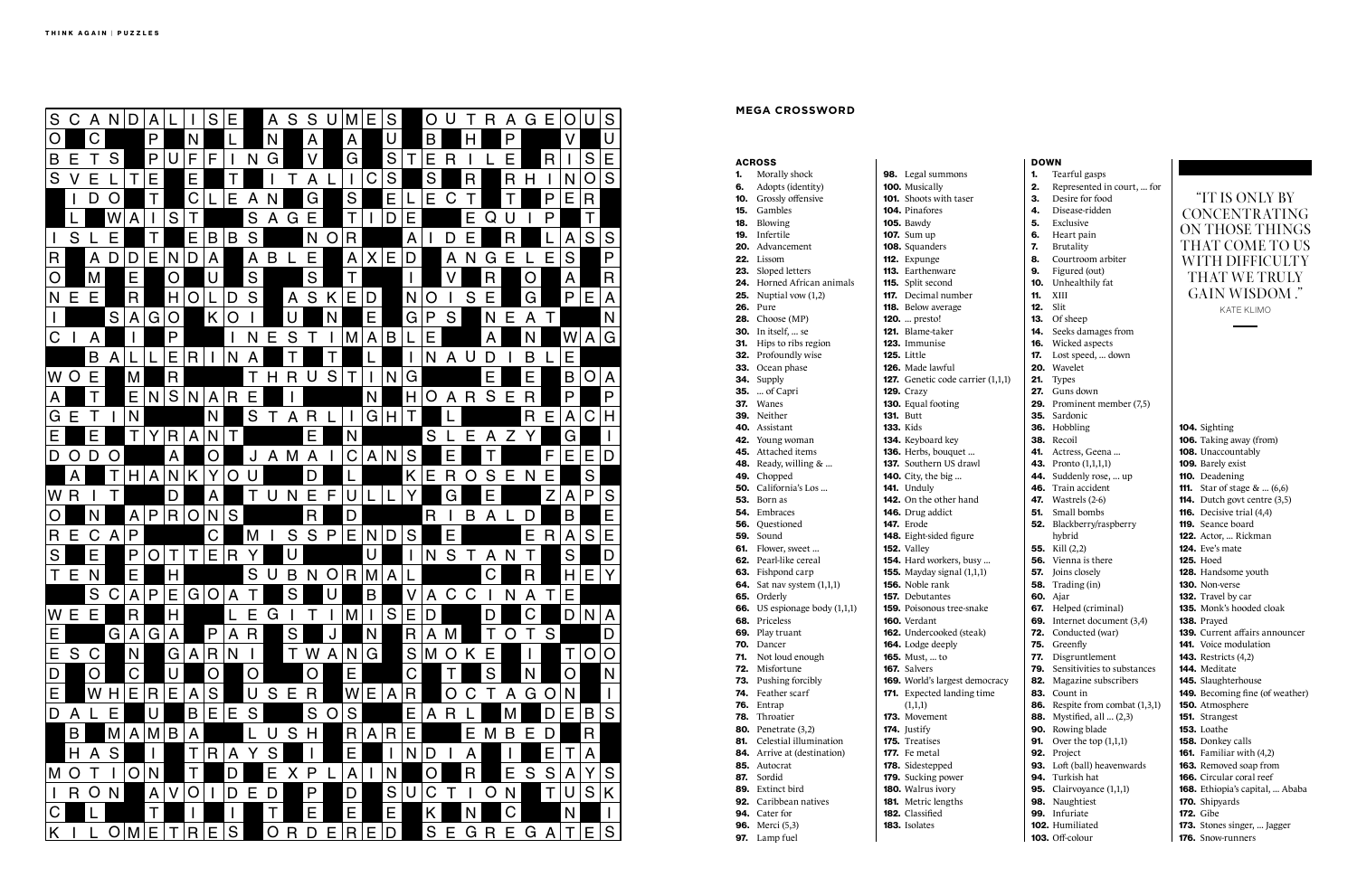

### **MEGA CROSSWORD**

|     | <b>ACROSS</b>                                          |                                              |
|-----|--------------------------------------------------------|----------------------------------------------|
| 1.  | Morally shock                                          | 98. Legal summons                            |
| 6.  | Adopts (identity)                                      | 100. Musically                               |
| 10. | Grossly offensive                                      | <b>101.</b> Shoots with tas                  |
| 15. | Gambles                                                | <b>104.</b> Pinafores                        |
|     | <b>18.</b> Blowing                                     | <b>105.</b> Bawdy                            |
|     | 19. Infertile                                          | <b>107.</b> Sum up                           |
|     | 20. Advancement                                        | 108. Squanders                               |
|     | 22. Lissom                                             | 112. Expunge                                 |
|     | 23. Sloped letters                                     | 113. Earthenware                             |
|     | 24. Horned African animals                             | 115. Split second                            |
|     | <b>25.</b> Nuptial vow $(1,2)$                         | <b>117.</b> Decimal number                   |
|     | <b>26.</b> Pure<br>28. Choose (MP)                     | 118. Below average<br><b>120.</b> presto!    |
|     | <b>30.</b> In itself,  se                              | 121. Blame-taker                             |
|     | 31. Hips to ribs region                                | 123. Immunise                                |
|     | 32. Profoundly wise                                    | 125. Little                                  |
|     | 33. Ocean phase                                        | <b>126.</b> Made lawful                      |
|     | 34. Supply                                             | 127. Genetic code ca                         |
|     | <b>35.</b> of Capri                                    | <b>129.</b> Crazy                            |
|     | 37. Wanes                                              | 130. Equal footing                           |
|     | 39. Neither                                            | <b>131.</b> Butt                             |
|     | 40. Assistant                                          | <b>133. Kids</b>                             |
|     | 42. Young woman                                        | 134. Keyboard key                            |
|     | 45. Attached items                                     | 136. Herbs, bouquet                          |
|     | 48. Ready, willing $& $                                | 137. Southern US dr                          |
|     | 49. Chopped                                            | <b>140.</b> City, the big                    |
|     | <b>50.</b> California's Los                            | <b>141.</b> Unduly                           |
|     | <b>53.</b> Born as                                     | 142. On the other ha                         |
|     | 54. Embraces                                           | 146. Drug addict                             |
|     | <b>56.</b> Questioned                                  | <b>147.</b> Erode                            |
|     | <b>59.</b> Sound                                       | 148. Eight-sided figu                        |
|     | 61. Flower, sweet                                      | 152. Valley                                  |
|     | <b>62.</b> Pearl-like cereal                           | 154. Hard workers, b<br>155. Mayday signal ( |
|     | 63. Fishpond carp<br><b>64.</b> Sat nav system (1,1,1) | <b>156.</b> Noble rank                       |
|     | 65. Orderly                                            | <b>157.</b> Debutantes                       |
|     | <b>66.</b> US espionage body $(1,1,1)$                 | <b>159.</b> Poisonous tree-                  |
|     | 68. Priceless                                          | <b>160.</b> Verdant                          |
| 69. | Play truant                                            | 162. Undercooked (s                          |
| 70. | Dancer                                                 | 164. Lodge deeply                            |
| 71. | Not loud enough                                        | <b>165.</b> Must,  to                        |
| 72. | Misfortune                                             | 167. Salvers                                 |
| 73. | Pushing forcibly                                       | 169. World's largest                         |
| 74. | Feather scarf                                          | 171. Expected landin                         |
| 76. | Entrap                                                 | (1,1,1)                                      |
| 78. | Throatier                                              | 173. Movement                                |
| 80. | Penetrate (3,2)                                        | 174. Justify                                 |
| 81. | Celestial illumination                                 | <b>175.</b> Treatises                        |
| 84. | Arrive at (destination)                                | <b>177.</b> Fe metal                         |
| 85. | Autocrat                                               | 178. Sidestepped                             |
| 87. | Sordid                                                 | <b>179.</b> Sucking power                    |
|     | 89. Extinct bird<br><b>92.</b> Caribbean natives       | 180. Walrus ivory                            |
|     | <b>94.</b> Cater for                                   | 181. Metric lengths<br>182. Classified       |
|     | <b>96.</b> Merci (5,3)                                 | 183. Isolates                                |
| 97. | Lamp fuel                                              |                                              |
|     |                                                        |                                              |

|                           | <b>DOWN</b> |                                            |                                                       |
|---------------------------|-------------|--------------------------------------------|-------------------------------------------------------|
| ummons                    | 1.          | Tearful gasps                              |                                                       |
| lly                       | 2.          | Represented in court,  for                 |                                                       |
| with taser                | З.          | Desire for food                            | "IT IS ONLY BY                                        |
| es.                       | 4.          | Disease-ridden                             | CONCENTRATING                                         |
|                           | 5.          | Exclusive                                  |                                                       |
|                           | 6.          | Heart pain                                 | ON THOSE THINGS                                       |
| lers                      | 7.          | Brutality                                  | THAT COME TO US                                       |
| ŗе                        | 8.          | Courtroom arbiter                          | WITH DIFFICULTY                                       |
| nware                     | 9.          | Figured (out)                              |                                                       |
| cond                      | 10.         | Unhealthily fat                            | THAT WE TRULY                                         |
| al number                 | 11.         | XIII                                       | GAIN WISDOM."                                         |
| average                   | 12.         | Slit                                       | <b>KATE KLIMO</b>                                     |
| o!                        | 13.         | Of sheep                                   |                                                       |
| taker                     | 14.         | Seeks damages from                         |                                                       |
| ıise                      | 16.         | Wicked aspects                             |                                                       |
|                           | 17.         | Lost speed,  down                          |                                                       |
| awful                     |             | 20. Wavelet                                |                                                       |
| c code carrier (1,1,1)    | 21.         | <b>Types</b>                               |                                                       |
|                           |             | 27. Guns down                              |                                                       |
| ooting                    |             | <b>29.</b> Prominent member (7,5)          |                                                       |
|                           |             | 35. Sardonic                               |                                                       |
|                           |             | 36. Hobbling                               | 104. Sighting                                         |
| rd key                    |             | 38. Recoil                                 | 106. Taking away (from)                               |
| bouquet                   | 41.         | Actress, Geena                             | 108. Unaccountably                                    |
| rn US drawl               |             | <b>43.</b> Pronto (1,1,1,1)                | 109. Barely exist                                     |
| e big                     |             | 44. Suddenly rose,  up                     | 110. Deadening                                        |
|                           |             | 46. Train accident                         | <b>111.</b> Star of stage $\&$ (6,6)                  |
| other hand                |             | <b>47.</b> Wastrels (2-6)                  | <b>114.</b> Dutch govt centre (3,5)                   |
| ddict                     | 51.         | Small bombs                                | <b>116.</b> Decisive trial $(4,4)$                    |
|                           |             | 52. Blackberry/raspberry                   | <b>119.</b> Seance board                              |
| ded figure                |             | hybrid                                     | 122. Actor,  Rickman                                  |
|                           |             | <b>55.</b> Kill $(2,2)$                    | <b>124.</b> Eve's mate                                |
| orkers, busy              |             | <b>56.</b> Vienna is there                 | <b>125.</b> Hoed                                      |
| $\gamma$ signal $(1,1,1)$ | 57.         | Joins closely                              | 128. Handsome youth                                   |
| ank:                      |             | <b>58.</b> Trading (in)<br><b>60.</b> Ajar | <b>130.</b> Non-verse                                 |
| ntes                      |             | 67. Helped (criminal)                      | 132. Travel by car<br><b>135.</b> Monk's hooded cloak |
| ous tree-snake<br>t       |             | 69. Internet document (3,4)                | 138. Prayed                                           |
| ooked (steak)             |             | <b>72.</b> Conducted (war)                 | 139. Current affairs announcer                        |
| deeply                    |             | 75. Greenfly                               | <b>141.</b> Voice modulation                          |
| . to                      | 77.         | Disgruntlement                             | <b>143.</b> Restricts (4,2)                           |
|                           | 79.         | Sensitivities to substances                | 144. Meditate                                         |
| largest democracy         |             | 82. Magazine subscribers                   | <b>145.</b> Slaughterhouse                            |
| ed landing time           |             | 83. Count in                               | 149. Becoming fine (of weather)                       |
|                           |             | <b>86.</b> Respite from combat $(1,3,1)$   | 150. Atmosphere                                       |
| ıent                      |             | <b>88.</b> Mystified, all  (2,3)           | 151. Strangest                                        |
|                           |             | 90. Rowing blade                           | 153. Loathe                                           |
| es                        | 91.         | Over the top $(1,1,1)$                     | 158. Donkey calls                                     |
| al                        |             | 92. Project                                | <b>161.</b> Familiar with $(4,2)$                     |
| pped                      |             | 93. Loft (ball) heavenwards                | 163. Removed soap from                                |
| g power                   |             | 94. Turkish hat                            | <b>166.</b> Circular coral reef                       |
| ivory                     |             | <b>95.</b> Clairvoyance $(1,1,1)$          | 168. Ethiopia's capital,  Ababa                       |
| lengths                   |             | 98. Naughtiest                             | <b>170.</b> Shipyards                                 |
| ed                        |             | 99. Infuriate                              | <b>172.</b> Gibe                                      |
|                           |             | 102. Humiliated                            | 173. Stones singer,  Jagger                           |
|                           |             | 103. Off-colour                            | <b>176.</b> Snow-runners                              |